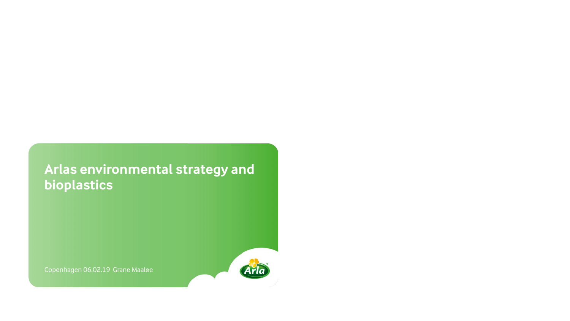### **Arlas environmental strategy and bioplastics**

Copenhagen 06.02.19 Grane Maaløe

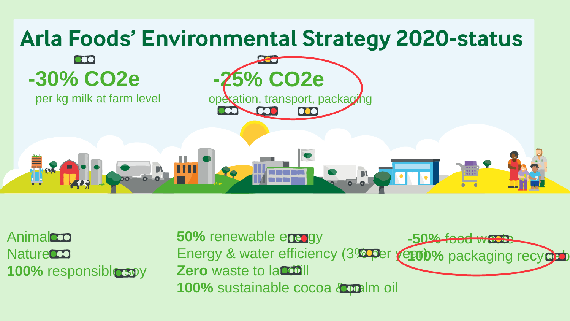

Animalco **Naturecco 100%** responsible soy

**-50%** food waste Energy & water efficiency (3% per year)% packaging recyclab **50% renewable energy Zero** waste to landfill **100%** sustainable cocoa **& palm** oil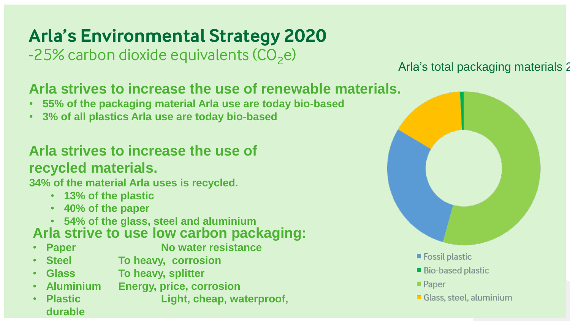# **Arla's Environmental Strategy 2020**

 $-25%$  carbon dioxide equivalents (CO<sub>2</sub>e)

#### Arla's total packaging materials 2

### **Arla strives to increase the use of renewable materials.**

- **55% of the packaging material Arla use are today bio-based**
- **3% of all plastics Arla use are today bio-based**

### **Arla strives to increase the use of recycled materials.**

**34% of the material Arla uses is recycled.**

- **13% of the plastic**
- **40% of the paper**
- **54% of the glass, steel and aluminium**

#### **Arla strive to use low carbon packaging:**

- 
- **Paper No water resistance**
- **Steel To heavy, corrosion**
- **Glass To heavy, splitter**
- **Aluminium Energy, price, corrosion**
- **Plastic Light, cheap, waterproof, durable**



- Bio-based plastic
- $\blacksquare$  Paper
- Glass, steel, aluminium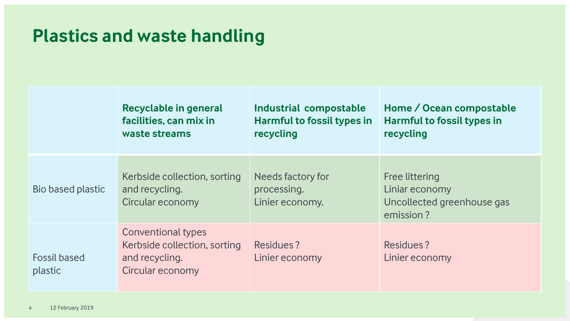## **Plastics and waste handling**

|                                | <b>Recyclable in general</b><br>facilities, can mix in<br>waste streams                  | Industrial compostable<br><b>Harmful to fossil types in</b><br>recycling | Home / Ocean compostable<br><b>Harmful to fossil types in</b><br>recycling  |
|--------------------------------|------------------------------------------------------------------------------------------|--------------------------------------------------------------------------|-----------------------------------------------------------------------------|
| Bio based plastic              | Kerbside collection, sorting<br>and recycling.<br>Circular economy                       | Needs factory for<br>processing.<br>Linier economy.                      | Free littering<br>Liniar economy<br>Uncollected greenhouse gas<br>emission? |
| <b>Fossil based</b><br>plastic | Conventional types<br>Kerbside collection, sorting<br>and recycling.<br>Circular economy | Residues?<br>Linier economy                                              | Residues?<br>Linier economy                                                 |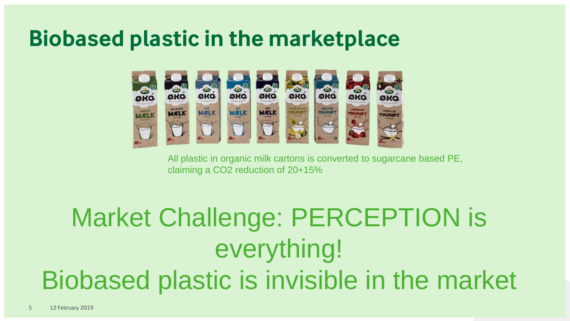# **Biobased plastic in the marketplace**



All plastic in organic milk cartons is converted to sugarcane based PE, claiming a CO2 reduction of 20+15%

# Market Challenge: PERCEPTION is everything! Biobased plastic is invisible in the market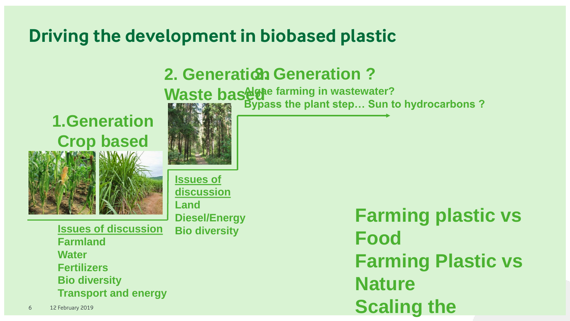# **Driving the development in biobased plastic**

# **2. Generation 3. Generation ?**

**Waste basede farming in wastewater? Bypass the plant step… Sun to hydrocarbons ?**

## **1.Generation Crop based**

![](_page_5_Picture_4.jpeg)

**Issues of discussion Land Diesel/Energy**

**Issues of discussion Bio diversity Farmland Water Fertilizers Bio diversity Transport and energy**

**Farming plastic vs Food Farming Plastic vs Nature Scaling the**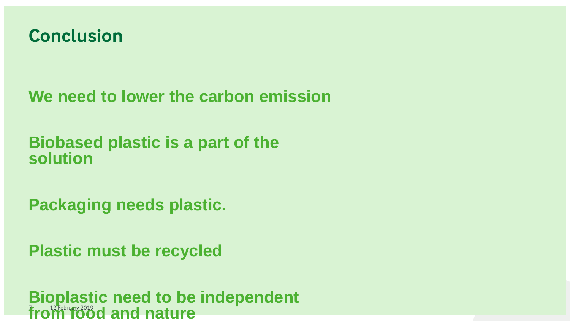![](_page_6_Picture_0.jpeg)

**We need to lower the carbon emission**

**Biobased plastic is a part of the solution**

**Packaging needs plastic.**

**Plastic must be recycled**

**Bioplastic need to be independent**  from food and nature